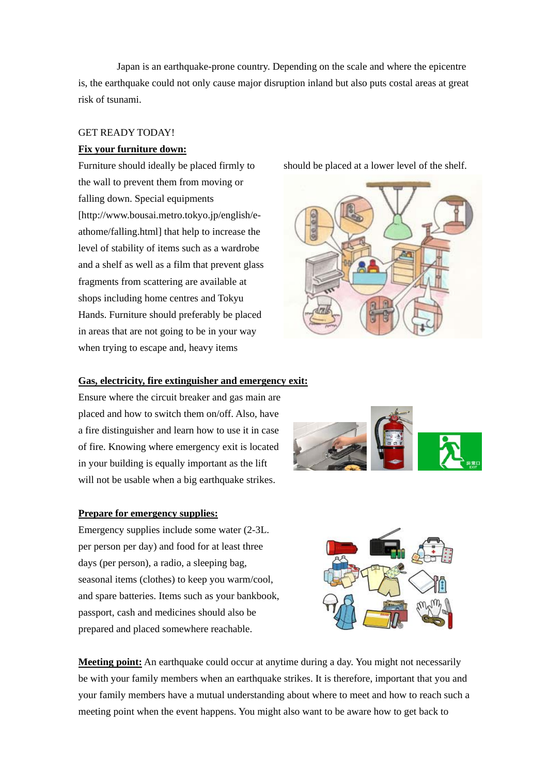Japan is an earthquake-prone country. Depending on the scale and where the epicentre is, the earthquake could not only cause major disruption inland but also puts costal areas at great risk of tsunami.

### GET READY TODAY!

## **Fix your furniture down:**

Furniture should ideally be placed firmly to the wall to prevent them from moving or falling down. Special equipments [http://www.bousai.metro.tokyo.jp/english/eathome/falling.html] that help to increase the level of stability of items such as a wardrobe and a shelf as well as a film that prevent glass fragments from scattering are available at shops including home centres and Tokyu Hands. Furniture should preferably be placed in areas that are not going to be in your way when trying to escape and, heavy items

should be placed at a lower level of the shelf.



### **Gas, electricity, fire extinguisher and emergency exit:**

Ensure where the circuit breaker and gas main are placed and how to switch them on/off. Also, have a fire distinguisher and learn how to use it in case of fire. Knowing where emergency exit is located in your building is equally important as the lift will not be usable when a big earthquake strikes.

### **Prepare for emergency supplies:**

Emergency supplies include some water (2-3L. per person per day) and food for at least three days (per person), a radio, a sleeping bag, seasonal items (clothes) to keep you warm/cool, and spare batteries. Items such as your bankbook, passport, cash and medicines should also be prepared and placed somewhere reachable.





**Meeting point:** An earthquake could occur at anytime during a day. You might not necessarily be with your family members when an earthquake strikes. It is therefore, important that you and your family members have a mutual understanding about where to meet and how to reach such a meeting point when the event happens. You might also want to be aware how to get back to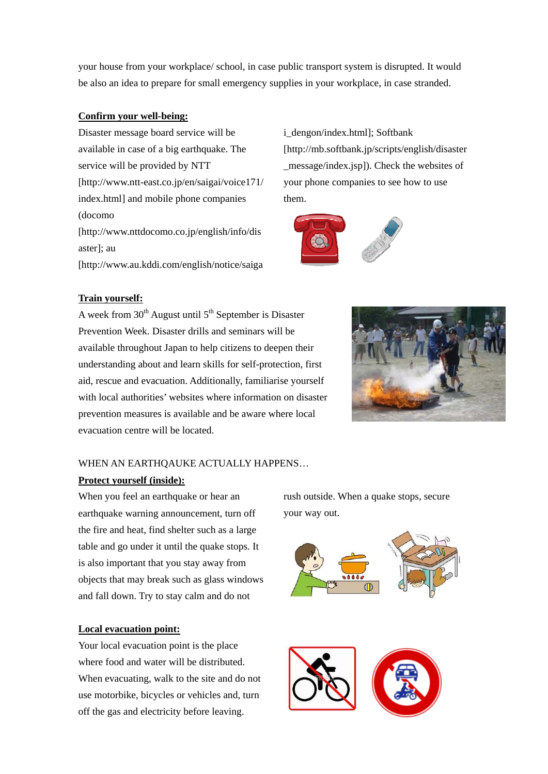your house from your workplace/ school, in case public transport system is disrupted. It would be also an idea to prepare for small emergency supplies in your workplace, in case stranded.

### **Confirm your well-being:**

Disaster message board service will be available in case of a big earthquake. The service will be provided by NTT [http://www.ntt-east.co.jp/en/saigai/voice171/ index.html] and mobile phone companies (docomo [http://www.nttdocomo.co.jp/english/info/dis aster]; au [http://www.au.kddi.com/english/notice/saiga

i\_dengon/index.html]; Softbank [http://mb.softbank.jp/scripts/english/disaster \_message/index.jsp]). Check the websites of your phone companies to see how to use them.



# **Train yourself:**

A week from  $30<sup>th</sup>$  August until  $5<sup>th</sup>$  September is Disaster Prevention Week. Disaster drills and seminars will be available throughout Japan to help citizens to deepen their understanding about and learn skills for self-protection, first aid, rescue and evacuation. Additionally, familiarise yourself with local authorities' websites where information on disaster prevention measures is available and be aware where local evacuation centre will be located.



## WHEN AN EARTHOAUKE ACTUALLY HAPPENS...

## **Protect yourself (inside):**

When you feel an earthquake or hear an earthquake warning announcement, turn off the fire and heat, find shelter such as a large table and go under it until the quake stops. It is also important that you stay away from objects that may break such as glass windows and fall down. Try to stay calm and do not

# **Local evacuation point:**

Your local evacuation point is the place where food and water will be distributed. When evacuating, walk to the site and do not use motorbike, bicycles or vehicles and, turn off the gas and electricity before leaving.

rush outside. When a quake stops, secure your way out.